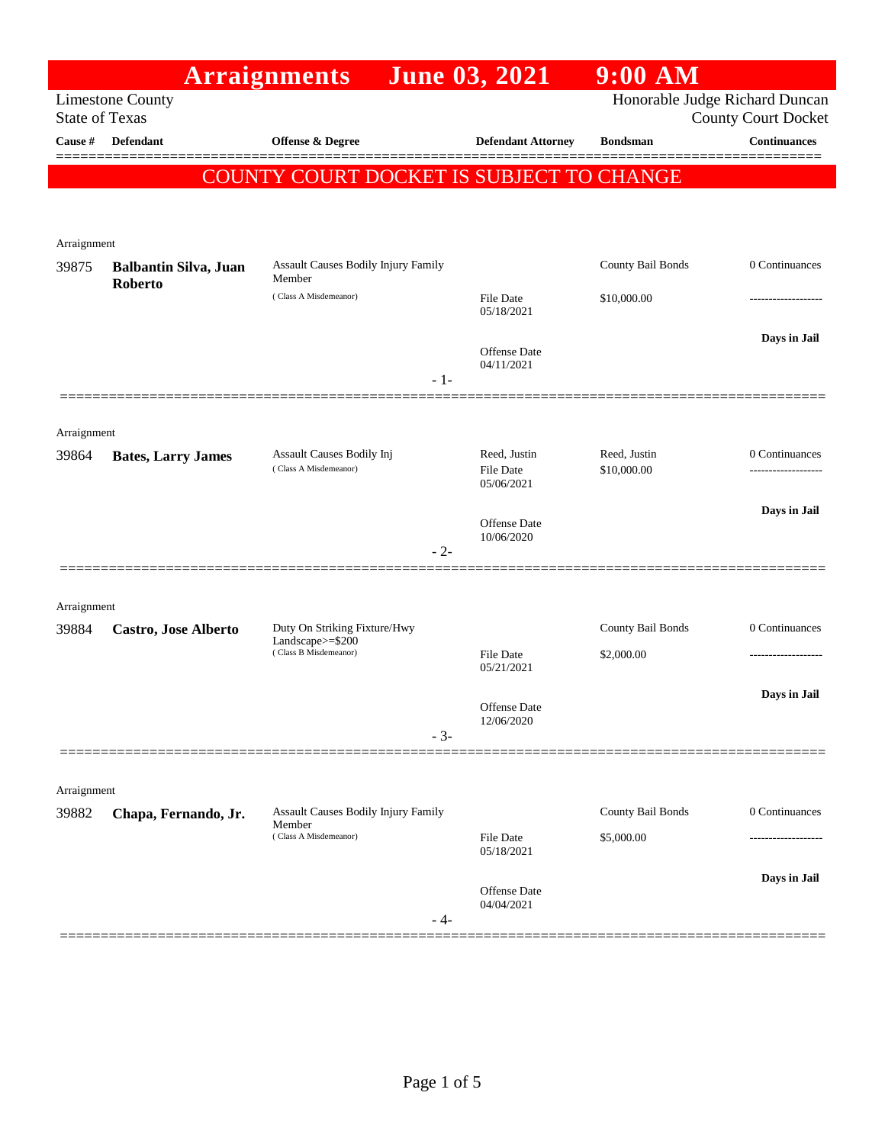|                      |                                                  | <b>Arraignments</b>                                | <b>June 03, 2021</b>                    | $9:00$ AM                      |                            |
|----------------------|--------------------------------------------------|----------------------------------------------------|-----------------------------------------|--------------------------------|----------------------------|
|                      | <b>Limestone County</b><br><b>State of Texas</b> |                                                    |                                         | Honorable Judge Richard Duncan | <b>County Court Docket</b> |
| <b>Cause</b> #       | <b>Defendant</b>                                 | Offense & Degree                                   | <b>Defendant Attorney</b>               | <b>Bondsman</b>                | <b>Continuances</b>        |
|                      |                                                  | COUNTY COURT DOCKET IS SUBJECT TO CHANGE           |                                         |                                |                            |
|                      |                                                  |                                                    |                                         |                                |                            |
| Arraignment<br>39875 | <b>Balbantin Silva, Juan</b>                     | Assault Causes Bodily Injury Family<br>Member      |                                         | County Bail Bonds              | 0 Continuances             |
|                      | Roberto                                          | (Class A Misdemeanor)                              | File Date<br>05/18/2021                 | \$10,000.00                    |                            |
|                      |                                                  | $-1-$                                              | Offense Date<br>04/11/2021              |                                | Days in Jail               |
|                      |                                                  |                                                    |                                         |                                |                            |
| Arraignment<br>39864 | <b>Bates, Larry James</b>                        | Assault Causes Bodily Inj<br>(Class A Misdemeanor) | Reed, Justin<br>File Date<br>05/06/2021 | Reed, Justin<br>\$10,000.00    | 0 Continuances             |
|                      |                                                  | $-2-$                                              | Offense Date<br>10/06/2020              |                                | Days in Jail               |
|                      |                                                  |                                                    |                                         |                                |                            |
| Arraignment<br>39884 | Castro, Jose Alberto                             | Duty On Striking Fixture/Hwy<br>Landscape>=\$200   |                                         | County Bail Bonds              | 0 Continuances             |
|                      |                                                  | (Class B Misdemeanor)                              | <b>File Date</b><br>05/21/2021          | \$2,000.00                     |                            |
|                      |                                                  | $-3-$                                              | Offense Date<br>12/06/2020              |                                | Days in Jail               |
|                      |                                                  |                                                    |                                         |                                |                            |
| Arraignment<br>39882 | Chapa, Fernando, Jr.                             | Assault Causes Bodily Injury Family<br>Member      |                                         | County Bail Bonds              | 0 Continuances             |
|                      |                                                  | (Class A Misdemeanor)                              | File Date<br>05/18/2021                 | \$5,000.00                     |                            |
|                      |                                                  | - 4-                                               | Offense Date<br>04/04/2021              |                                | Days in Jail               |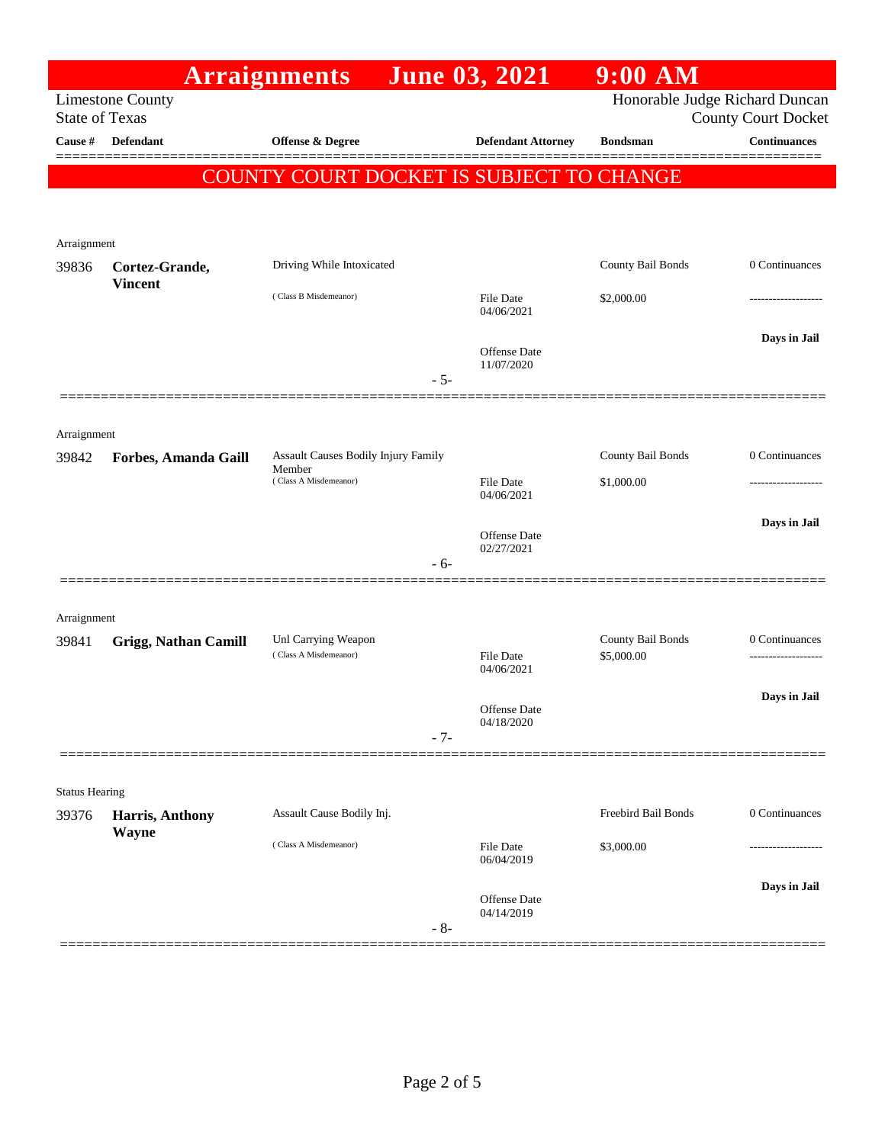|                                                                                                                  |                                  | <b>Arraignments</b>                          | <b>June 03, 2021</b>              | $9:00$ AM           |                     |
|------------------------------------------------------------------------------------------------------------------|----------------------------------|----------------------------------------------|-----------------------------------|---------------------|---------------------|
| Honorable Judge Richard Duncan<br><b>Limestone County</b><br><b>State of Texas</b><br><b>County Court Docket</b> |                                  |                                              |                                   |                     |                     |
| Cause #                                                                                                          | Defendant                        | Offense & Degree                             | <b>Defendant Attorney</b>         | <b>Bondsman</b>     | <b>Continuances</b> |
|                                                                                                                  |                                  | COUNTY COURT DOCKET IS SUBJECT TO CHANGE     |                                   |                     | =======             |
|                                                                                                                  |                                  |                                              |                                   |                     |                     |
|                                                                                                                  |                                  |                                              |                                   |                     |                     |
| Arraignment                                                                                                      |                                  |                                              |                                   |                     |                     |
| 39836                                                                                                            | Cortez-Grande,<br><b>Vincent</b> | Driving While Intoxicated                    |                                   | County Bail Bonds   | 0 Continuances      |
|                                                                                                                  |                                  | (Class B Misdemeanor)                        | File Date<br>04/06/2021           | \$2,000.00          |                     |
|                                                                                                                  |                                  |                                              |                                   |                     | Days in Jail        |
|                                                                                                                  |                                  |                                              | <b>Offense</b> Date<br>11/07/2020 |                     |                     |
|                                                                                                                  |                                  |                                              | $-5-$                             |                     |                     |
|                                                                                                                  |                                  |                                              |                                   |                     |                     |
| Arraignment<br>39842                                                                                             | Forbes, Amanda Gaill             | <b>Assault Causes Bodily Injury Family</b>   |                                   | County Bail Bonds   | 0 Continuances      |
|                                                                                                                  |                                  | Member<br>(Class A Misdemeanor)              | File Date                         | \$1,000.00          |                     |
|                                                                                                                  |                                  |                                              | 04/06/2021                        |                     |                     |
|                                                                                                                  |                                  |                                              | Offense Date                      |                     | Days in Jail        |
|                                                                                                                  |                                  |                                              | 02/27/2021<br>$-6-$               |                     |                     |
|                                                                                                                  |                                  |                                              |                                   |                     |                     |
| Arraignment                                                                                                      |                                  |                                              |                                   |                     |                     |
| 39841                                                                                                            | <b>Grigg, Nathan Camill</b>      | Unl Carrying Weapon<br>(Class A Misdemeanor) |                                   | County Bail Bonds   | 0 Continuances      |
|                                                                                                                  |                                  |                                              | File Date<br>04/06/2021           | \$5,000.00          | ------------------- |
|                                                                                                                  |                                  |                                              | Offense Date                      |                     | Days in Jail        |
|                                                                                                                  |                                  |                                              | 04/18/2020<br>$-7-$               |                     |                     |
|                                                                                                                  |                                  |                                              |                                   |                     |                     |
| <b>Status Hearing</b>                                                                                            |                                  |                                              |                                   |                     |                     |
| 39376                                                                                                            | Harris, Anthony                  | Assault Cause Bodily Inj.                    |                                   | Freebird Bail Bonds | 0 Continuances      |
|                                                                                                                  | Wayne                            | (Class A Misdemeanor)                        | File Date                         | \$3,000.00          | -------------       |
|                                                                                                                  |                                  |                                              | 06/04/2019                        |                     |                     |
|                                                                                                                  |                                  |                                              | <b>Offense</b> Date               |                     | Days in Jail        |
|                                                                                                                  |                                  |                                              | 04/14/2019<br>$-8-$               |                     |                     |
|                                                                                                                  |                                  |                                              |                                   |                     |                     |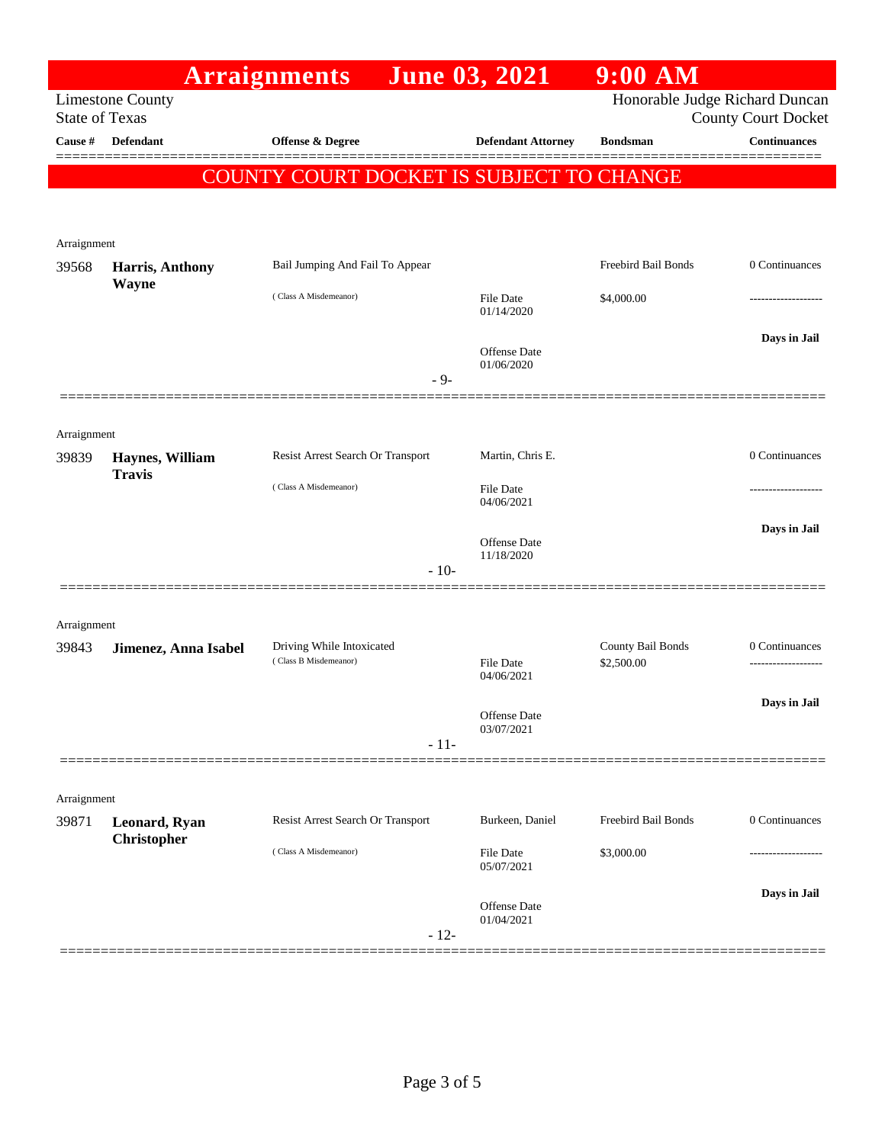|                       |                                  | <b>Arraignments</b>                                | <b>June 03, 2021</b>           | $9:00$ AM                       |                            |
|-----------------------|----------------------------------|----------------------------------------------------|--------------------------------|---------------------------------|----------------------------|
| <b>State of Texas</b> | <b>Limestone County</b>          |                                                    |                                | Honorable Judge Richard Duncan  | <b>County Court Docket</b> |
| Cause #               | <b>Defendant</b>                 | <b>Offense &amp; Degree</b>                        | <b>Defendant Attorney</b>      | <b>Bondsman</b>                 | <b>Continuances</b>        |
|                       |                                  | COUNTY COURT DOCKET IS SUBJECT TO CHANGE           |                                |                                 |                            |
|                       |                                  |                                                    |                                |                                 |                            |
| Arraignment<br>39568  | Harris, Anthony                  | Bail Jumping And Fail To Appear                    |                                | Freebird Bail Bonds             | 0 Continuances             |
|                       | <b>Wayne</b>                     | (Class A Misdemeanor)                              | <b>File Date</b><br>01/14/2020 | \$4,000.00                      |                            |
|                       |                                  | $-9-$                                              | Offense Date<br>01/06/2020     |                                 | Days in Jail               |
|                       |                                  |                                                    |                                |                                 |                            |
| Arraignment           |                                  |                                                    |                                |                                 |                            |
| 39839                 | Haynes, William<br><b>Travis</b> | Resist Arrest Search Or Transport                  | Martin, Chris E.               |                                 | 0 Continuances             |
|                       |                                  | (Class A Misdemeanor)                              | File Date<br>04/06/2021        |                                 |                            |
|                       |                                  | $-10-$                                             | Offense Date<br>11/18/2020     |                                 | Days in Jail               |
|                       |                                  |                                                    |                                |                                 |                            |
| Arraignment           |                                  |                                                    |                                |                                 |                            |
| 39843                 | Jimenez, Anna Isabel             | Driving While Intoxicated<br>(Class B Misdemeanor) | <b>File Date</b><br>04/06/2021 | County Bail Bonds<br>\$2,500.00 | 0 Continuances             |
|                       |                                  | $-11-$                                             | Offense Date<br>03/07/2021     |                                 | Days in Jail               |
|                       |                                  |                                                    |                                |                                 |                            |
| Arraignment           |                                  |                                                    |                                |                                 |                            |
| 39871                 | Leonard, Ryan<br>Christopher     | Resist Arrest Search Or Transport                  | Burkeen, Daniel                | Freebird Bail Bonds             | 0 Continuances             |
|                       |                                  | (Class A Misdemeanor)                              | <b>File Date</b><br>05/07/2021 | \$3,000.00                      |                            |
|                       |                                  | $-12-$                                             | Offense Date<br>01/04/2021     |                                 | Days in Jail               |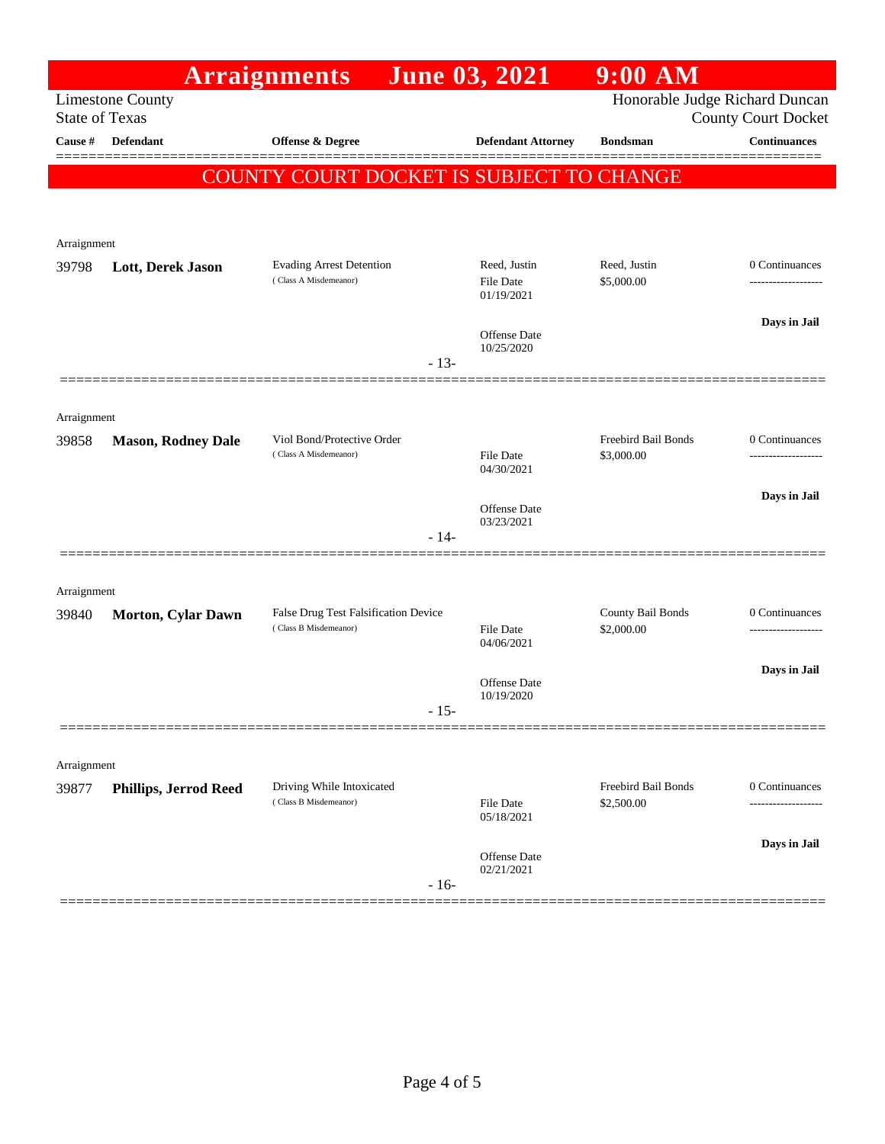| Honorable Judge Richard Duncan<br><b>Limestone County</b><br><b>State of Texas</b><br><b>County Court Docket</b><br><b>Continuances</b><br>Cause #<br><b>Defendant</b><br>Offense & Degree<br><b>Defendant Attorney</b><br><b>Bondsman</b><br>COUNTY COURT DOCKET IS SUBJECT TO CHANGE<br>Arraignment<br><b>Evading Arrest Detention</b><br>Reed, Justin<br>0 Continuances<br>Reed, Justin<br>39798<br>Lott, Derek Jason<br>(Class A Misdemeanor)<br><b>File Date</b><br>\$5,000.00<br>01/19/2021<br>Days in Jail<br>Offense Date<br>10/25/2020<br>$-13-$<br>Arraignment<br>Freebird Bail Bonds<br>Viol Bond/Protective Order<br>0 Continuances<br>39858<br><b>Mason, Rodney Dale</b><br>(Class A Misdemeanor)<br>\$3,000.00<br><b>File Date</b><br>.<br>04/30/2021<br>Days in Jail<br><b>Offense</b> Date<br>03/23/2021<br>$-14-$<br>Arraignment<br>County Bail Bonds<br>False Drug Test Falsification Device<br>0 Continuances<br>39840<br><b>Morton, Cylar Dawn</b><br>(Class B Misdemeanor)<br>\$2,000.00<br><b>File Date</b><br>------------------<br>04/06/2021<br>Days in Jail<br>Offense Date<br>10/19/2020<br>$-15-$<br>Arraignment<br>Freebird Bail Bonds<br>0 Continuances<br>Driving While Intoxicated<br><b>Phillips, Jerrod Reed</b><br>39877<br>(Class B Misdemeanor)<br><b>File Date</b><br>\$2,500.00<br>05/18/2021<br>Days in Jail |  | <b>Arraignments</b> | <b>June 03, 2021</b> | $9:00$ AM |  |
|------------------------------------------------------------------------------------------------------------------------------------------------------------------------------------------------------------------------------------------------------------------------------------------------------------------------------------------------------------------------------------------------------------------------------------------------------------------------------------------------------------------------------------------------------------------------------------------------------------------------------------------------------------------------------------------------------------------------------------------------------------------------------------------------------------------------------------------------------------------------------------------------------------------------------------------------------------------------------------------------------------------------------------------------------------------------------------------------------------------------------------------------------------------------------------------------------------------------------------------------------------------------------------------------------------------------------------------------------|--|---------------------|----------------------|-----------|--|
|                                                                                                                                                                                                                                                                                                                                                                                                                                                                                                                                                                                                                                                                                                                                                                                                                                                                                                                                                                                                                                                                                                                                                                                                                                                                                                                                                      |  |                     |                      |           |  |
|                                                                                                                                                                                                                                                                                                                                                                                                                                                                                                                                                                                                                                                                                                                                                                                                                                                                                                                                                                                                                                                                                                                                                                                                                                                                                                                                                      |  |                     |                      |           |  |
|                                                                                                                                                                                                                                                                                                                                                                                                                                                                                                                                                                                                                                                                                                                                                                                                                                                                                                                                                                                                                                                                                                                                                                                                                                                                                                                                                      |  |                     |                      |           |  |
|                                                                                                                                                                                                                                                                                                                                                                                                                                                                                                                                                                                                                                                                                                                                                                                                                                                                                                                                                                                                                                                                                                                                                                                                                                                                                                                                                      |  |                     |                      |           |  |
|                                                                                                                                                                                                                                                                                                                                                                                                                                                                                                                                                                                                                                                                                                                                                                                                                                                                                                                                                                                                                                                                                                                                                                                                                                                                                                                                                      |  |                     |                      |           |  |
|                                                                                                                                                                                                                                                                                                                                                                                                                                                                                                                                                                                                                                                                                                                                                                                                                                                                                                                                                                                                                                                                                                                                                                                                                                                                                                                                                      |  |                     |                      |           |  |
|                                                                                                                                                                                                                                                                                                                                                                                                                                                                                                                                                                                                                                                                                                                                                                                                                                                                                                                                                                                                                                                                                                                                                                                                                                                                                                                                                      |  |                     |                      |           |  |
|                                                                                                                                                                                                                                                                                                                                                                                                                                                                                                                                                                                                                                                                                                                                                                                                                                                                                                                                                                                                                                                                                                                                                                                                                                                                                                                                                      |  |                     |                      |           |  |
|                                                                                                                                                                                                                                                                                                                                                                                                                                                                                                                                                                                                                                                                                                                                                                                                                                                                                                                                                                                                                                                                                                                                                                                                                                                                                                                                                      |  |                     |                      |           |  |
|                                                                                                                                                                                                                                                                                                                                                                                                                                                                                                                                                                                                                                                                                                                                                                                                                                                                                                                                                                                                                                                                                                                                                                                                                                                                                                                                                      |  |                     |                      |           |  |
|                                                                                                                                                                                                                                                                                                                                                                                                                                                                                                                                                                                                                                                                                                                                                                                                                                                                                                                                                                                                                                                                                                                                                                                                                                                                                                                                                      |  |                     |                      |           |  |
|                                                                                                                                                                                                                                                                                                                                                                                                                                                                                                                                                                                                                                                                                                                                                                                                                                                                                                                                                                                                                                                                                                                                                                                                                                                                                                                                                      |  |                     |                      |           |  |
|                                                                                                                                                                                                                                                                                                                                                                                                                                                                                                                                                                                                                                                                                                                                                                                                                                                                                                                                                                                                                                                                                                                                                                                                                                                                                                                                                      |  |                     |                      |           |  |
|                                                                                                                                                                                                                                                                                                                                                                                                                                                                                                                                                                                                                                                                                                                                                                                                                                                                                                                                                                                                                                                                                                                                                                                                                                                                                                                                                      |  |                     |                      |           |  |
|                                                                                                                                                                                                                                                                                                                                                                                                                                                                                                                                                                                                                                                                                                                                                                                                                                                                                                                                                                                                                                                                                                                                                                                                                                                                                                                                                      |  |                     |                      |           |  |
|                                                                                                                                                                                                                                                                                                                                                                                                                                                                                                                                                                                                                                                                                                                                                                                                                                                                                                                                                                                                                                                                                                                                                                                                                                                                                                                                                      |  |                     |                      |           |  |
|                                                                                                                                                                                                                                                                                                                                                                                                                                                                                                                                                                                                                                                                                                                                                                                                                                                                                                                                                                                                                                                                                                                                                                                                                                                                                                                                                      |  |                     |                      |           |  |
|                                                                                                                                                                                                                                                                                                                                                                                                                                                                                                                                                                                                                                                                                                                                                                                                                                                                                                                                                                                                                                                                                                                                                                                                                                                                                                                                                      |  |                     |                      |           |  |
|                                                                                                                                                                                                                                                                                                                                                                                                                                                                                                                                                                                                                                                                                                                                                                                                                                                                                                                                                                                                                                                                                                                                                                                                                                                                                                                                                      |  |                     |                      |           |  |
|                                                                                                                                                                                                                                                                                                                                                                                                                                                                                                                                                                                                                                                                                                                                                                                                                                                                                                                                                                                                                                                                                                                                                                                                                                                                                                                                                      |  |                     |                      |           |  |
|                                                                                                                                                                                                                                                                                                                                                                                                                                                                                                                                                                                                                                                                                                                                                                                                                                                                                                                                                                                                                                                                                                                                                                                                                                                                                                                                                      |  |                     |                      |           |  |
|                                                                                                                                                                                                                                                                                                                                                                                                                                                                                                                                                                                                                                                                                                                                                                                                                                                                                                                                                                                                                                                                                                                                                                                                                                                                                                                                                      |  |                     |                      |           |  |
|                                                                                                                                                                                                                                                                                                                                                                                                                                                                                                                                                                                                                                                                                                                                                                                                                                                                                                                                                                                                                                                                                                                                                                                                                                                                                                                                                      |  |                     |                      |           |  |
|                                                                                                                                                                                                                                                                                                                                                                                                                                                                                                                                                                                                                                                                                                                                                                                                                                                                                                                                                                                                                                                                                                                                                                                                                                                                                                                                                      |  |                     |                      |           |  |
|                                                                                                                                                                                                                                                                                                                                                                                                                                                                                                                                                                                                                                                                                                                                                                                                                                                                                                                                                                                                                                                                                                                                                                                                                                                                                                                                                      |  |                     |                      |           |  |
|                                                                                                                                                                                                                                                                                                                                                                                                                                                                                                                                                                                                                                                                                                                                                                                                                                                                                                                                                                                                                                                                                                                                                                                                                                                                                                                                                      |  |                     |                      |           |  |
|                                                                                                                                                                                                                                                                                                                                                                                                                                                                                                                                                                                                                                                                                                                                                                                                                                                                                                                                                                                                                                                                                                                                                                                                                                                                                                                                                      |  |                     |                      |           |  |
| Offense Date<br>02/21/2021                                                                                                                                                                                                                                                                                                                                                                                                                                                                                                                                                                                                                                                                                                                                                                                                                                                                                                                                                                                                                                                                                                                                                                                                                                                                                                                           |  |                     |                      |           |  |
| $-16-$                                                                                                                                                                                                                                                                                                                                                                                                                                                                                                                                                                                                                                                                                                                                                                                                                                                                                                                                                                                                                                                                                                                                                                                                                                                                                                                                               |  |                     |                      |           |  |